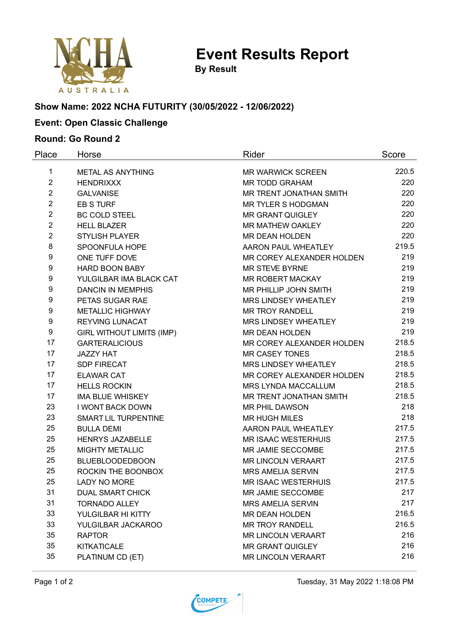

**Event Results Report**

**By Result**

# **Show Name: 2022 NCHA FUTURITY (30/05/2022 - 12/06/2022)**

# **Event: Open Classic Challenge**

## **Round: Go Round 2**

| Place          | Horse                            | Rider                       | Score |
|----------------|----------------------------------|-----------------------------|-------|
| 1              | METAL AS ANYTHING                | <b>MR WARWICK SCREEN</b>    | 220.5 |
| $\overline{2}$ | <b>HENDRIXXX</b>                 | <b>MR TODD GRAHAM</b>       | 220   |
| $\overline{2}$ | <b>GALVANISE</b>                 | MR TRENT JONATHAN SMITH     | 220   |
| $\overline{2}$ | EB S TURF                        | <b>MR TYLER S HODGMAN</b>   | 220   |
| $\overline{2}$ | <b>BC COLD STEEL</b>             | <b>MR GRANT QUIGLEY</b>     | 220   |
| $\overline{2}$ | <b>HELL BLAZER</b>               | MR MATHEW OAKLEY            | 220   |
| $\overline{2}$ | <b>STYLISH PLAYER</b>            | <b>MR DEAN HOLDEN</b>       | 220   |
| 8              | SPOONFULA HOPE                   | AARON PAUL WHEATLEY         | 219.5 |
| 9              | ONE TUFF DOVE                    | MR COREY ALEXANDER HOLDEN   | 219   |
| 9              | <b>HARD BOON BABY</b>            | <b>MR STEVE BYRNE</b>       | 219   |
| 9              | YULGILBAR IMA BLACK CAT          | <b>MR ROBERT MACKAY</b>     | 219   |
| 9              | <b>DANCIN IN MEMPHIS</b>         | MR PHILLIP JOHN SMITH       | 219   |
| 9              | PETAS SUGAR RAE                  | MRS LINDSEY WHEATLEY        | 219   |
| 9              | <b>METALLIC HIGHWAY</b>          | <b>MR TROY RANDELL</b>      | 219   |
| 9              | <b>REYVING LUNACAT</b>           | <b>MRS LINDSEY WHEATLEY</b> | 219   |
| 9              | <b>GIRL WITHOUT LIMITS (IMP)</b> | MR DEAN HOLDEN              | 219   |
| 17             | <b>GARTERALICIOUS</b>            | MR COREY ALEXANDER HOLDEN   | 218.5 |
| 17             | <b>JAZZY HAT</b>                 | <b>MR CASEY TONES</b>       | 218.5 |
| 17             | <b>SDP FIRECAT</b>               | MRS LINDSEY WHEATLEY        | 218.5 |
| 17             | <b>ELAWAR CAT</b>                | MR COREY ALEXANDER HOLDEN   | 218.5 |
| 17             | <b>HELLS ROCKIN</b>              | MRS LYNDA MACCALLUM         | 218.5 |
| 17             | <b>IMA BLUE WHISKEY</b>          | MR TRENT JONATHAN SMITH     | 218.5 |
| 23             | <b>I WONT BACK DOWN</b>          | <b>MR PHIL DAWSON</b>       | 218   |
| 23             | SMART LIL TURPENTINE             | <b>MR HUGH MILES</b>        | 218   |
| 25             | <b>BULLA DEMI</b>                | AARON PAUL WHEATLEY         | 217.5 |
| 25             | <b>HENRYS JAZABELLE</b>          | <b>MR ISAAC WESTERHUIS</b>  | 217.5 |
| 25             | <b>MIGHTY METALLIC</b>           | MR JAMIE SECCOMBE           | 217.5 |
| 25             | <b>BLUEBLOODEDBOON</b>           | <b>MR LINCOLN VERAART</b>   | 217.5 |
| 25             | ROCKIN THE BOONBOX               | <b>MRS AMELIA SERVIN</b>    | 217.5 |
| 25             | LADY NO MORE                     | <b>MR ISAAC WESTERHUIS</b>  | 217.5 |
| 31             | <b>DUAL SMART CHICK</b>          | MR JAMIE SECCOMBE           | 217   |
| 31             | <b>TORNADO ALLEY</b>             | <b>MRS AMELIA SERVIN</b>    | 217   |
| 33             | YULGILBAR HI KITTY               | <b>MR DEAN HOLDEN</b>       | 216.5 |
| 33             | YULGILBAR JACKAROO               | <b>MR TROY RANDELL</b>      | 216.5 |
| 35             | <b>RAPTOR</b>                    | <b>MR LINCOLN VERAART</b>   | 216   |
| 35             | <b>KITKATICALE</b>               | <b>MR GRANT QUIGLEY</b>     | 216   |
| 35             | PLATINUM CD (ET)                 | <b>MR LINCOLN VERAART</b>   | 216   |